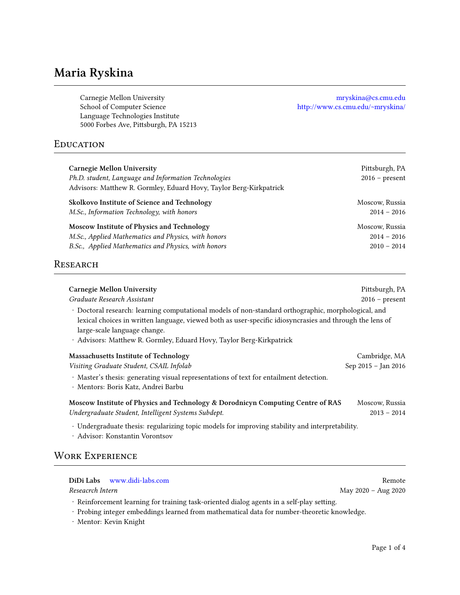# **Maria Ryskina**

Carnegie Mellon University [mryskina@cs.cmu.edu](mailto:mryskina@cs.cmu.edu) School of Computer Science <http://www.cs.cmu.edu/~mryskina/> Language Technologies Institute 5000 Forbes Ave, Pittsburgh, PA 15213

### **EDUCATION**

| Carnegie Mellon University<br>Ph.D. student, Language and Information Technologies<br>Advisors: Matthew R. Gormley, Eduard Hovy, Taylor Berg-Kirkpatrick | Pittsburgh, PA<br>$2016$ – present |
|----------------------------------------------------------------------------------------------------------------------------------------------------------|------------------------------------|
| Skolkovo Institute of Science and Technology                                                                                                             | Moscow, Russia                     |
| M.Sc., Information Technology, with honors                                                                                                               | $2014 - 2016$                      |
| Moscow Institute of Physics and Technology                                                                                                               | Moscow, Russia                     |
| M.Sc., Applied Mathematics and Physics, with honors                                                                                                      | $2014 - 2016$                      |
| B.Sc., Applied Mathematics and Physics, with honors                                                                                                      | $2010 - 2014$                      |

### **RESEARCH**

| <b>Carnegie Mellon University</b>                                                                                                                                                                                                                                                                                       | Pittsburgh, PA      |
|-------------------------------------------------------------------------------------------------------------------------------------------------------------------------------------------------------------------------------------------------------------------------------------------------------------------------|---------------------|
| Graduate Research Assistant                                                                                                                                                                                                                                                                                             | $2016$ – present    |
| · Doctoral research: learning computational models of non-standard orthographic, morphological, and<br>lexical choices in written language, viewed both as user-specific idiosyncrasies and through the lens of<br>large-scale language change.<br>· Advisors: Matthew R. Gormley, Eduard Hovy, Taylor Berg-Kirkpatrick |                     |
| Massachusetts Institute of Technology                                                                                                                                                                                                                                                                                   | Cambridge, MA       |
| Visiting Graduate Student, CSAIL Infolab                                                                                                                                                                                                                                                                                | Sep 2015 - Jan 2016 |
| · Master's thesis: generating visual representations of text for entailment detection.<br>· Mentors: Boris Katz, Andrei Barbu                                                                                                                                                                                           |                     |
| Moscow Institute of Physics and Technology & Dorodnicyn Computing Centre of RAS                                                                                                                                                                                                                                         | Moscow, Russia      |
| Undergraduate Student, Intelligent Systems Subdept.                                                                                                                                                                                                                                                                     | $2013 - 2014$       |
| · Undergraduate thesis: regularizing topic models for improving stability and interpretability.<br>· Advisor: Konstantin Vorontsov                                                                                                                                                                                      |                     |
| <b>WORK EXPERIENCE</b>                                                                                                                                                                                                                                                                                                  |                     |

#### **DiDi Labs** <www.didi-labs.com> Remote

*Reseacrch Intern* May 2020 – Aug 2020

• Reinforcement learning for training task-oriented dialog agents in a self-play setting.

• Probing integer embeddings learned from mathematical data for number-theoretic knowledge.

• Mentor: Kevin Knight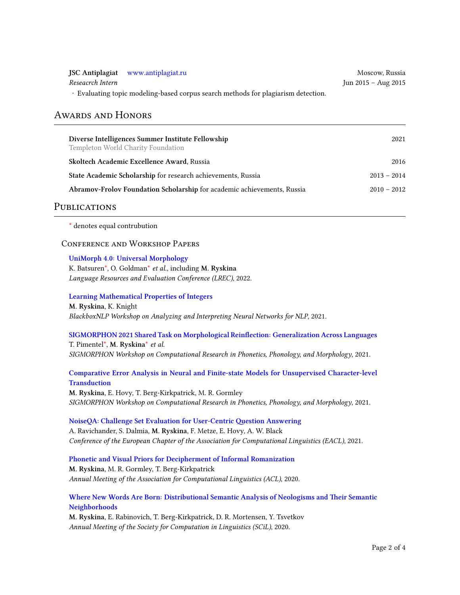|                  | JSC Antiplagiat www.antiplagiat.ru                                              | Moscow, Russia      |
|------------------|---------------------------------------------------------------------------------|---------------------|
| Reseacrch Intern |                                                                                 | Jun 2015 – Aug 2015 |
|                  | Evaluating topic modeling-based corpus search methods for plagiarism detection. |                     |

### Awards and Honors

| Diverse Intelligences Summer Institute Fellowship<br>Templeton World Charity Foundation | 2021          |
|-----------------------------------------------------------------------------------------|---------------|
| Skoltech Academic Excellence Award, Russia                                              | 2016          |
| State Academic Scholarship for research achievements, Russia                            | $2013 - 2014$ |
| Abramov-Frolov Foundation Scholarship for academic achievements, Russia                 | $2010 - 2012$ |
|                                                                                         |               |

### PUBLICATIONS

<span id="page-1-0"></span>\* denotes equal contrubution

#### Conference and Workshop Papers

#### **[UniMorph 4.0: Universal Morphology](https://arxiv.org/abs/2205.03608)**

K. Batsure[n\\*,](#page-1-0) O. Goldma[n\\*](#page-1-0) *et al.*, including **M. Ryskina** *Language Resources and Evaluation Conference (LREC)*, 2022.

**[Learning Mathematical Properties of Integers](https://aclanthology.org/2021.blackboxnlp-1.30/) M. Ryskina**, K. Knight

*BlackboxNLP Workshop on Analyzing and Interpreting Neural Networks for NLP*, 2021.

### **[SIGMORPHON 2021 Shared Task on Morphological Reinflection: Generalization Across Languages](https://aclanthology.org/2021.sigmorphon-1.25/)** T. Pimentel[\\*,](#page-1-0) **M. Ryskina**[\\*](#page-1-0) *et al.*

*SIGMORPHON Workshop on Computational Research in Phonetics, Phonology, and Morphology*, 2021.

### **[Comparative Error Analysis in Neural and Finite-state Models for Unsupervised Character-level](https://aclanthology.org/2021.sigmorphon-1.22/) [Transduction](https://aclanthology.org/2021.sigmorphon-1.22/)**

**M. Ryskina**, E. Hovy, T. Berg-Kirkpatrick, M. R. Gormley *SIGMORPHON Workshop on Computational Research in Phonetics, Phonology, and Morphology*, 2021.

#### **[NoiseQA: Challenge Set Evaluation for User-Centric Question Answering](https://aclanthology.org/2021.eacl-main.259/)** A. Ravichander, S. Dalmia, **M. Ryskina**, F. Metze, E. Hovy, A. W. Black *Conference of the European Chapter of the Association for Computational Linguistics (EACL)*, 2021.

**[Phonetic and Visual Priors for Decipherment of Informal Romanization](https://aclanthology.org/2020.acl-main.737/) M. Ryskina**, M. R. Gormley, T. Berg-Kirkpatrick *Annual Meeting of the Association for Computational Linguistics (ACL)*, 2020.

#### **[Where New Words Are Born: Distributional Semantic Analysis of Neologisms and Their Semantic](https://scholarworks.umass.edu/scil/vol3/iss1/6/) [Neighborhoods](https://scholarworks.umass.edu/scil/vol3/iss1/6/)**

**M. Ryskina**, E. Rabinovich, T. Berg-Kirkpatrick, D. R. Mortensen, Y. Tsvetkov *Annual Meeting of the Society for Computation in Linguistics (SCiL)*, 2020.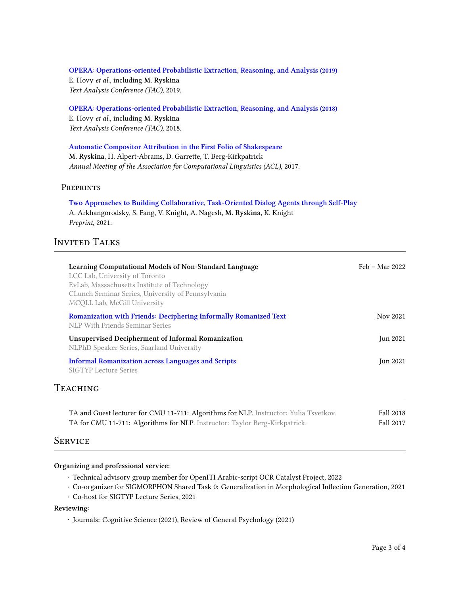## **[OPERA: Operations-oriented Probabilistic Extraction, Reasoning, and Analysis](https://tac.nist.gov/publications/2019/participant.papers/TAC2019.OPERA.proceedings.pdf) (2019)**

E. Hovy *et al.*, including **M. Ryskina** *Text Analysis Conference (TAC)*, 2019.

#### **[OPERA: Operations-oriented Probabilistic Extraction, Reasoning, and Analysis](https://tac.nist.gov/publications/2018/participant.papers/TAC2018.OPERA.proceedings.pdf) (2018)**

E. Hovy *et al.*, including **M. Ryskina** *Text Analysis Conference (TAC)*, 2018.

### **[Automatic Compositor Attribution in the First Folio of Shakespeare](https://aclanthology.org/P17-2065/)**

**M. Ryskina**, H. Alpert-Abrams, D. Garrette, T. Berg-Kirkpatrick *Annual Meeting of the Association for Computational Linguistics (ACL)*, 2017.

### **PREPRINTS**

### **[Two Approaches to Building Collaborative, Task-Oriented Dialog Agents through Self-Play](https://arxiv.org/abs/2109.09597)** A. Arkhangorodsky, S. Fang, V. Knight, A. Nagesh, **M. Ryskina**, K. Knight *Preprint*, 2021.

### INVITED TALKS

| Learning Computational Models of Non-Standard Language<br>LCC Lab, University of Toronto<br>EvLab, Massachusetts Institute of Technology<br>CLunch Seminar Series, University of Pennsylvania<br>MCOLL Lab, McGill University | Feb – Mar 2022 |
|-------------------------------------------------------------------------------------------------------------------------------------------------------------------------------------------------------------------------------|----------------|
| Romanization with Friends: Deciphering Informally Romanized Text<br>NLP With Friends Seminar Series                                                                                                                           | Nov 2021       |
| <b>Unsupervised Decipherment of Informal Romanization</b><br>NLPhD Speaker Series, Saarland University                                                                                                                        | Jun 2021       |
| <b>Informal Romanization across Languages and Scripts</b><br><b>SIGTYP</b> Lecture Series                                                                                                                                     | Jun 2021       |

### **TEACHING**

| TA and Guest lecturer for CMU 11-711: Algorithms for NLP. Instructor: Yulia Tsvetkov. | Fall 2018 |
|---------------------------------------------------------------------------------------|-----------|
| TA for CMU 11-711: Algorithms for NLP. Instructor: Taylor Berg-Kirkpatrick.           | Fall 2017 |

### **SERVICE**

#### **Organizing and professional service:**

- Technical advisory group member for OpenITI Arabic-script OCR Catalyst Project, 2022
- Co-organizer for SIGMORPHON Shared Task 0: Generalization in Morphological Inflection Generation, 2021
- Co-host for SIGTYP Lecture Series, 2021

#### **Reviewing:**

• Journals: Cognitive Science (2021), Review of General Psychology (2021)